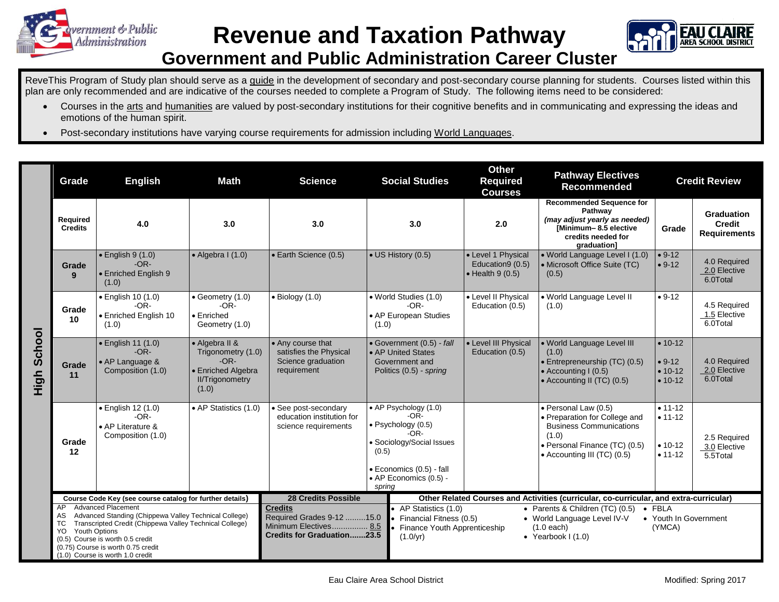



## **Government and Public Administration Career Cluster**

ReveThis Program of Study plan should serve as a guide in the development of secondary and post-secondary course planning for students. Courses listed within this plan are only recommended and are indicative of the courses needed to complete a Program of Study. The following items need to be considered:

- Courses in the arts and humanities are valued by post-secondary institutions for their cognitive benefits and in communicating and expressing the ideas and emotions of the human spirit.
- Post-secondary institutions have varying course requirements for admission including World Languages.

|                | Grade                                                                                                                                                                                                                                                                                                        | <b>English</b>                                                               | <b>Math</b>                                                                                             | <b>Science</b>                                                                                     | <b>Social Studies</b>                                                                                                                                                 | <b>Other</b><br><b>Required</b><br><b>Courses</b>                                                                                                                                                                                                  | <b>Pathway Electives</b><br><b>Recommended</b>                                                                                                                   | <b>Credit Review</b>                                   |                                                    |
|----------------|--------------------------------------------------------------------------------------------------------------------------------------------------------------------------------------------------------------------------------------------------------------------------------------------------------------|------------------------------------------------------------------------------|---------------------------------------------------------------------------------------------------------|----------------------------------------------------------------------------------------------------|-----------------------------------------------------------------------------------------------------------------------------------------------------------------------|----------------------------------------------------------------------------------------------------------------------------------------------------------------------------------------------------------------------------------------------------|------------------------------------------------------------------------------------------------------------------------------------------------------------------|--------------------------------------------------------|----------------------------------------------------|
|                | Required<br><b>Credits</b>                                                                                                                                                                                                                                                                                   | 4.0                                                                          | 3.0                                                                                                     | 3.0                                                                                                | 3.0                                                                                                                                                                   | 2.0                                                                                                                                                                                                                                                | <b>Recommended Sequence for</b><br>Pathway<br>(may adjust yearly as needed)<br>[Minimum-8.5 elective<br>credits needed for<br>graduation]                        | Grade                                                  | Graduation<br><b>Credit</b><br><b>Requirements</b> |
| School<br>High | Grade<br>9                                                                                                                                                                                                                                                                                                   | $\bullet$ English 9 $(1.0)$<br>$-OR-$<br><b>Enriched English 9</b><br>(1.0)  | $\bullet$ Algebra I (1.0)                                                                               | • Earth Science (0.5)                                                                              | $\bullet$ US History (0.5)                                                                                                                                            | • Level 1 Physical<br>Education9 (0.5)<br>$\bullet$ Health 9 (0.5)                                                                                                                                                                                 | · World Language Level I (1.0)<br>• Microsoft Office Suite (TC)<br>(0.5)                                                                                         | $• 9-12$<br>$• 9-12$                                   | 4.0 Required<br>2.0 Elective<br>6.0Total           |
|                | Grade<br>10                                                                                                                                                                                                                                                                                                  | $\bullet$ English 10 (1.0)<br>$-OR-$<br>• Enriched English 10<br>(1.0)       | $\bullet$ Geometry (1.0)<br>$-OR-$<br>$\bullet$ Enriched<br>Geometry (1.0)                              | $\bullet$ Biology (1.0)                                                                            | · World Studies (1.0)<br>$-OR-$<br>• AP European Studies<br>(1.0)                                                                                                     | • Level II Physical<br>Education (0.5)                                                                                                                                                                                                             | • World Language Level II<br>(1.0)                                                                                                                               | $• 9-12$                                               | 4.5 Required<br>1.5 Elective<br>6.0Total           |
|                | Grade<br>11                                                                                                                                                                                                                                                                                                  | $\bullet$ English 11 (1.0)<br>$-OR-$<br>• AP Language &<br>Composition (1.0) | • Algebra II &<br>Trigonometry (1.0)<br>$-OR-$<br>• Enriched Algebra<br><b>II/Trigonometry</b><br>(1.0) | • Any course that<br>satisfies the Physical<br>Science graduation<br>requirement                   | • Government (0.5) - fall<br>• AP United States<br>Government and<br>Politics (0.5) - spring                                                                          | • Level III Physical<br>Education (0.5)                                                                                                                                                                                                            | . World Language Level III<br>(1.0)<br>$\cdot$ Entrepreneurship (TC) (0.5)<br>• Accounting I (0.5)<br>• Accounting II (TC) (0.5)                                 | $• 10-12$<br>$• 9-12$<br>$• 10-12$<br>$• 10-12$        | 4.0 Required<br>2.0 Elective<br>6.0Total           |
|                | Grade<br>12                                                                                                                                                                                                                                                                                                  | • English 12 (1.0)<br>$-OR-$<br>• AP Literature &<br>Composition (1.0)       | • AP Statistics (1.0)                                                                                   | • See post-secondary<br>education institution for<br>science requirements                          | • AP Psychology (1.0)<br>$-OR-$<br>· Psychology (0.5)<br>$-OR-$<br>• Sociology/Social Issues<br>(0.5)<br>· Economics (0.5) - fall<br>• AP Economics (0.5) -<br>spring |                                                                                                                                                                                                                                                    | · Personal Law (0.5)<br>· Preparation for College and<br><b>Business Communications</b><br>(1.0)<br>• Personal Finance (TC) (0.5)<br>• Accounting III (TC) (0.5) | $• 11 - 12$<br>$• 11 - 12$<br>$• 10-12$<br>$• 11 - 12$ | 2.5 Required<br>3.0 Elective<br>5.5Total           |
|                | Course Code Key (see course catalog for further details)                                                                                                                                                                                                                                                     |                                                                              |                                                                                                         | <b>28 Credits Possible</b>                                                                         |                                                                                                                                                                       | Other Related Courses and Activities (curricular, co-curricular, and extra-curricular)                                                                                                                                                             |                                                                                                                                                                  |                                                        |                                                    |
|                | <b>Advanced Placement</b><br>AP<br>Advanced Standing (Chippewa Valley Technical College)<br>AS<br>Transcripted Credit (Chippewa Valley Technical College)<br>ТC<br><b>Youth Options</b><br>YO.<br>(0.5) Course is worth 0.5 credit<br>(0.75) Course is worth 0.75 credit<br>(1.0) Course is worth 1.0 credit |                                                                              |                                                                                                         | <b>Credits</b><br>Required Grades 9-12 15.0<br>Minimum Electives 8.5<br>Credits for Graduation23.5 | (1.0/yr)                                                                                                                                                              | • AP Statistics (1.0)<br>• Parents & Children (TC) (0.5)<br>$\bullet$ FBLA<br>• Youth In Government<br>• Financial Fitness (0.5)<br>• World Language Level IV-V<br>$(1.0$ each)<br>(YMCA)<br>• Finance Youth Apprenticeship<br>• Yearbook $1(1.0)$ |                                                                                                                                                                  |                                                        |                                                    |